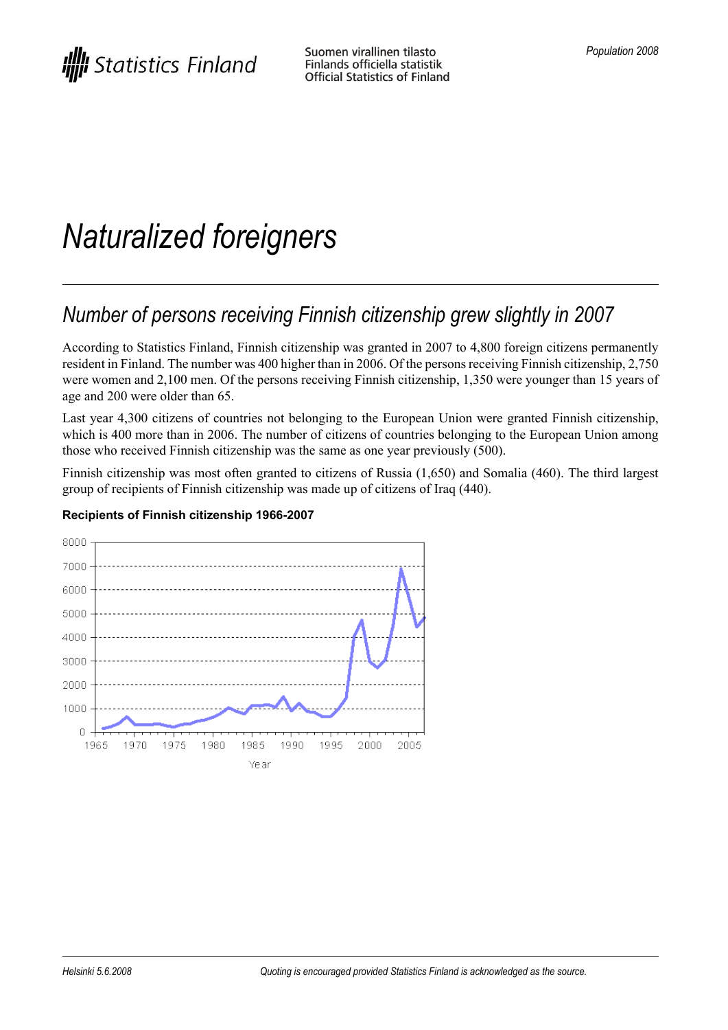# *Naturalized foreigners*

# *Number of persons receiving Finnish citizenship grew slightly in 2007*

According to Statistics Finland, Finnish citizenship was granted in 2007 to 4,800 foreign citizens permanently resident in Finland. The number was 400 higher than in 2006. Of the personsreceiving Finnish citizenship, 2,750 were women and 2,100 men. Of the persons receiving Finnish citizenship, 1,350 were younger than 15 years of age and 200 were older than 65.

Last year 4,300 citizens of countries not belonging to the European Union were granted Finnish citizenship, which is 400 more than in 2006. The number of citizens of countries belonging to the European Union among those who received Finnish citizenship was the same as one year previously (500).

Finnish citizenship was most often granted to citizens of Russia (1,650) and Somalia (460). The third largest group of recipients of Finnish citizenship was made up of citizens of Iraq (440).



#### **Recipients of Finnish citizenship 1966-2007**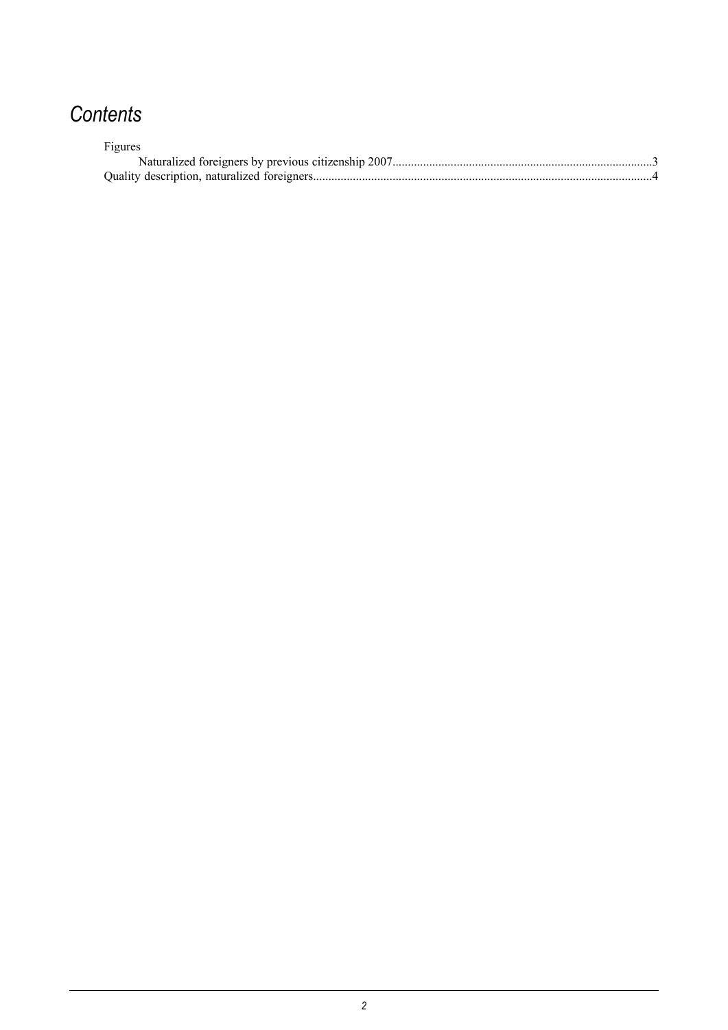# *Contents*

| Figures |  |
|---------|--|
|         |  |
|         |  |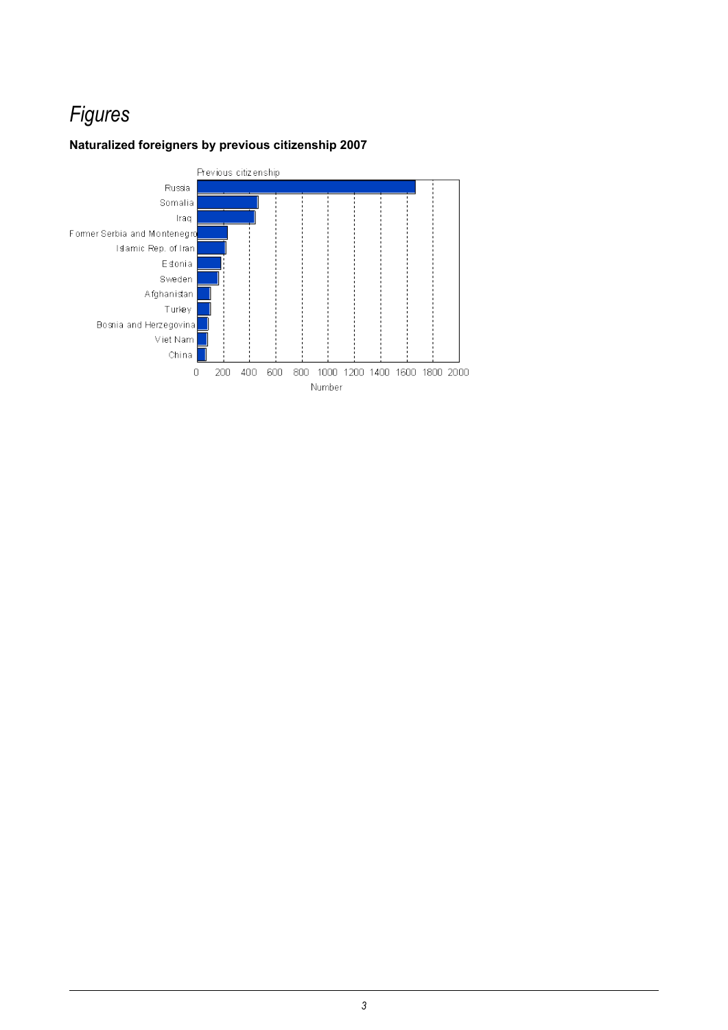## *Figures*

#### <span id="page-2-0"></span>**Naturalized foreigners by previous citizenship 2007**

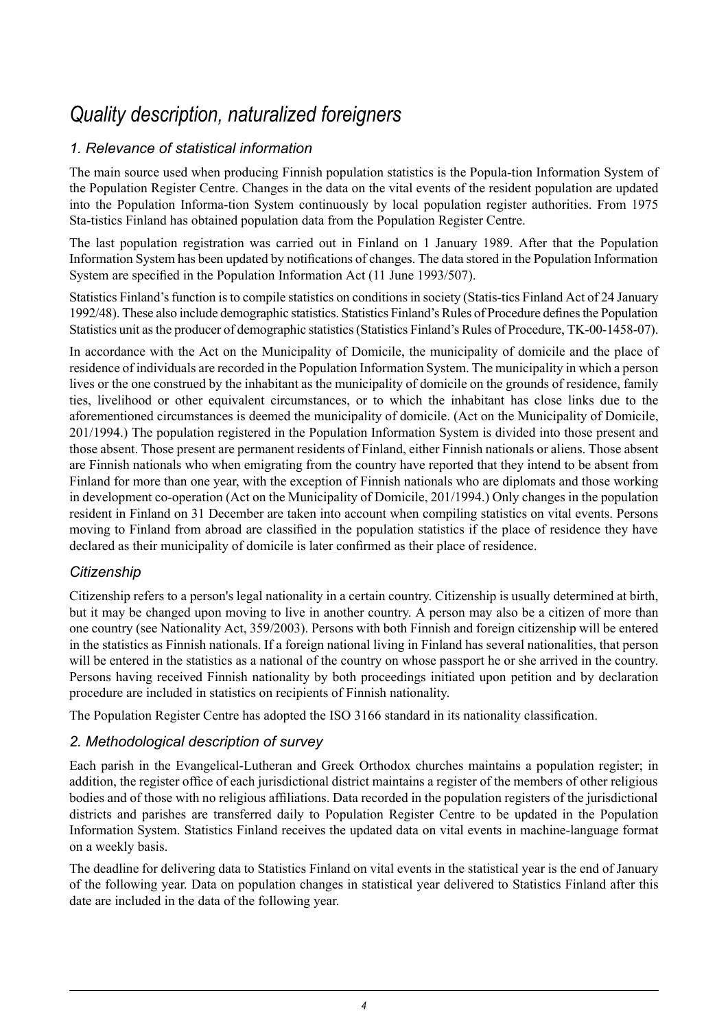### *Quality description, naturalized foreigners*

#### <span id="page-3-0"></span>*1. Relevance of statistical information*

The main source used when producing Finnish population statistics is the Popula-tion Information System of the Population Register Centre. Changes in the data on the vital events of the resident population are updated into the Population Informa-tion System continuously by local population register authorities. From 1975 Sta-tistics Finland has obtained population data from the Population Register Centre.

The last population registration was carried out in Finland on 1 January 1989. After that the Population Information System has been updated by notifications of changes. The data stored in the Population Information System are specified in the Population Information Act (11 June 1993/507).

Statistics Finland's function is to compile statistics on conditions in society (Statis-tics Finland Act of 24 January 1992/48). These also include demographic statistics. Statistics Finland's Rules of Procedure definesthe Population Statistics unit asthe producer of demographic statistics(Statistics Finland's Rules of Procedure, TK-00-1458-07).

In accordance with the Act on the Municipality of Domicile, the municipality of domicile and the place of residence of individuals are recorded in the Population Information System. The municipality in which a person lives or the one construed by the inhabitant as the municipality of domicile on the grounds of residence, family ties, livelihood or other equivalent circumstances, or to which the inhabitant has close links due to the aforementioned circumstances is deemed the municipality of domicile. (Act on the Municipality of Domicile, 201/1994.) The population registered in the Population Information System is divided into those present and those absent. Those present are permanent residents of Finland, either Finnish nationals or aliens. Those absent are Finnish nationals who when emigrating from the country have reported that they intend to be absent from Finland for more than one year, with the exception of Finnish nationals who are diplomats and those working in development co-operation (Act on the Municipality of Domicile, 201/1994.) Only changes in the population resident in Finland on 31 December are taken into account when compiling statistics on vital events. Persons moving to Finland from abroad are classified in the population statistics if the place of residence they have declared as their municipality of domicile is later confirmed as their place of residence.

#### *Citizenship*

Citizenship refers to a person's legal nationality in a certain country. Citizenship is usually determined at birth, but it may be changed upon moving to live in another country. A person may also be a citizen of more than one country (see Nationality Act, 359/2003). Persons with both Finnish and foreign citizenship will be entered in the statistics as Finnish nationals. If a foreign national living in Finland has several nationalities, that person will be entered in the statistics as a national of the country on whose passport he or she arrived in the country. Persons having received Finnish nationality by both proceedings initiated upon petition and by declaration procedure are included in statistics on recipients of Finnish nationality.

The Population Register Centre has adopted the ISO 3166 standard in its nationality classification.

#### *2. Methodological description of survey*

Each parish in the Evangelical-Lutheran and Greek Orthodox churches maintains a population register; in addition, the register office of each jurisdictional district maintains a register of the members of other religious bodies and of those with no religious affiliations. Data recorded in the population registers of the jurisdictional districts and parishes are transferred daily to Population Register Centre to be updated in the Population Information System. Statistics Finland receives the updated data on vital events in machine-language format on a weekly basis.

The deadline for delivering data to Statistics Finland on vital events in the statistical year is the end of January of the following year. Data on population changes in statistical year delivered to Statistics Finland after this date are included in the data of the following year.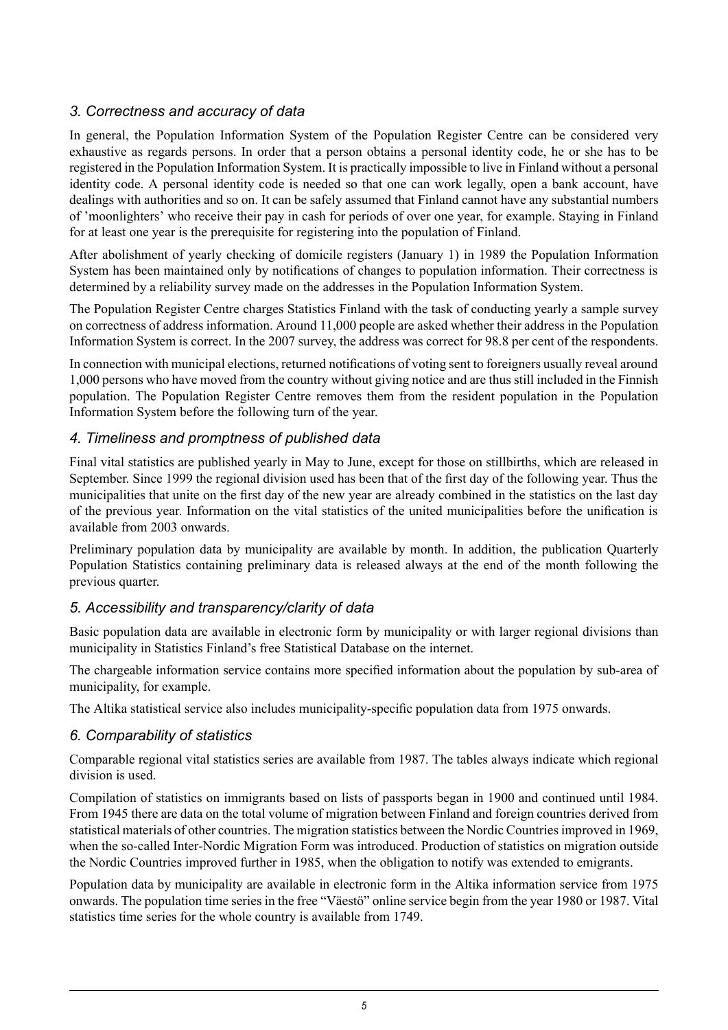#### *3. Correctness and accuracy of data*

In general, the Population Information System of the Population Register Centre can be considered very exhaustive as regards persons. In order that a person obtains a personal identity code, he or she has to be registered in the Population Information System. It is practically impossible to live in Finland without a personal identity code. A personal identity code is needed so that one can work legally, open a bank account, have dealings with authorities and so on. It can be safely assumed that Finland cannot have any substantial numbers of 'moonlighters' who receive their pay in cash for periods of over one year, for example. Staying in Finland for at least one year is the prerequisite for registering into the population of Finland.

After abolishment of yearly checking of domicile registers (January 1) in 1989 the Population Information System has been maintained only by notifications of changes to population information. Their correctness is determined by a reliability survey made on the addresses in the Population Information System.

The Population Register Centre charges Statistics Finland with the task of conducting yearly a sample survey on correctness of address information. Around 11,000 people are asked whether their address in the Population Information System is correct. In the 2007 survey, the address was correct for 98.8 per cent of the respondents.

In connection with municipal elections, returned notifications of voting sent to foreigners usually reveal around 1,000 persons who have moved from the country without giving notice and are thus still included in the Finnish population. The Population Register Centre removes them from the resident population in the Population Information System before the following turn of the year.

#### *4. Timeliness and promptness of published data*

Final vital statistics are published yearly in May to June, except for those on stillbirths, which are released in September. Since 1999 the regional division used has been that of the first day of the following year. Thus the municipalities that unite on the first day of the new year are already combined in the statistics on the last day of the previous year. Information on the vital statistics of the united municipalities before the unification is available from 2003 onwards.

Preliminary population data by municipality are available by month. In addition, the publication Quarterly Population Statistics containing preliminary data is released always at the end of the month following the previous quarter.

#### *5. Accessibility and transparency/clarity of data*

Basic population data are available in electronic form by municipality or with larger regional divisions than municipality in Statistics Finland's free Statistical Database on the internet.

The chargeable information service contains more specified information about the population by sub-area of municipality, for example.

The Altika statistical service also includes municipality-specific population data from 1975 onwards.

#### *6. Comparability of statistics*

Comparable regional vital statistics series are available from 1987. The tables always indicate which regional division is used.

Compilation of statistics on immigrants based on lists of passports began in 1900 and continued until 1984. From 1945 there are data on the total volume of migration between Finland and foreign countries derived from statistical materials of other countries. The migration statistics between the Nordic Countriesimproved in 1969, when the so-called Inter-Nordic Migration Form was introduced. Production of statistics on migration outside the Nordic Countries improved further in 1985, when the obligation to notify was extended to emigrants.

Population data by municipality are available in electronic form in the Altika information service from 1975 onwards. The population time series in the free "Väestö" online service begin from the year 1980 or 1987. Vital statistics time series for the whole country is available from 1749.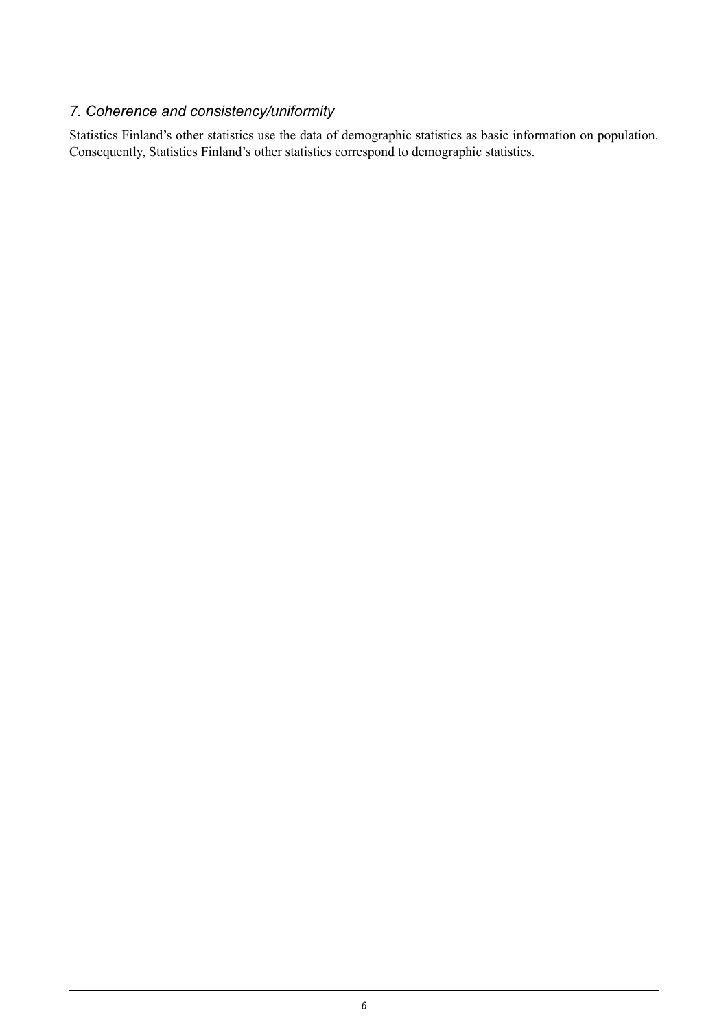### *7. Coherence and consistency/uniformity*

Statistics Finland's other statistics use the data of demographic statistics as basic information on population. Consequently, Statistics Finland's other statistics correspond to demographic statistics.